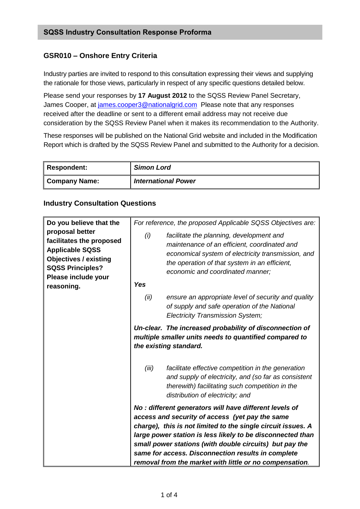## **GSR010 – Onshore Entry Criteria**

Industry parties are invited to respond to this consultation expressing their views and supplying the rationale for those views, particularly in respect of any specific questions detailed below.

Please send your responses by **17 August 2012** to the SQSS Review Panel Secretary, James Cooper, at [james.cooper3@nationalgrid.com](mailto:james.cooper3@nationalgrid.com) Please note that any responses received after the deadline or sent to a different email address may not receive due consideration by the SQSS Review Panel when it makes its recommendation to the Authority.

These responses will be published on the National Grid website and included in the Modification Report which is drafted by the SQSS Review Panel and submitted to the Authority for a decision.

| <b>Respondent:</b> | <b>Simon Lord</b>          |
|--------------------|----------------------------|
| Company Name:      | <b>International Power</b> |

## **Industry Consultation Questions**

| Do you believe that the<br>proposal better<br>facilitates the proposed<br><b>Applicable SQSS</b><br><b>Objectives / existing</b><br><b>SQSS Principles?</b><br>Please include your<br>reasoning. | For reference, the proposed Applicable SQSS Objectives are: |                                                                                                                                                                                                                                                                                                                                                                                                                     |  |
|--------------------------------------------------------------------------------------------------------------------------------------------------------------------------------------------------|-------------------------------------------------------------|---------------------------------------------------------------------------------------------------------------------------------------------------------------------------------------------------------------------------------------------------------------------------------------------------------------------------------------------------------------------------------------------------------------------|--|
|                                                                                                                                                                                                  | (i)<br><b>Yes</b>                                           | facilitate the planning, development and<br>maintenance of an efficient, coordinated and<br>economical system of electricity transmission, and<br>the operation of that system in an efficient,<br>economic and coordinated manner;                                                                                                                                                                                 |  |
|                                                                                                                                                                                                  | (ii)                                                        | ensure an appropriate level of security and quality<br>of supply and safe operation of the National<br><b>Electricity Transmission System;</b>                                                                                                                                                                                                                                                                      |  |
|                                                                                                                                                                                                  |                                                             | Un-clear. The increased probability of disconnection of<br>multiple smaller units needs to quantified compared to<br>the existing standard.                                                                                                                                                                                                                                                                         |  |
|                                                                                                                                                                                                  | (iii)                                                       | facilitate effective competition in the generation<br>and supply of electricity, and (so far as consistent<br>therewith) facilitating such competition in the<br>distribution of electricity; and                                                                                                                                                                                                                   |  |
|                                                                                                                                                                                                  |                                                             | No: different generators will have different levels of<br>access and security of access (yet pay the same<br>charge), this is not limited to the single circuit issues. A<br>large power station is less likely to be disconnected than<br>small power stations (with double circuits) but pay the<br>same for access. Disconnection results in complete<br>removal from the market with little or no compensation. |  |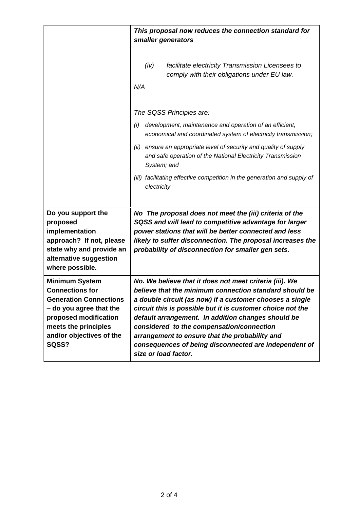|                                                                                                                                                                                                   | This proposal now reduces the connection standard for<br>smaller generators                                                                                                                                                                                                                                                                                                                                                                                                       |
|---------------------------------------------------------------------------------------------------------------------------------------------------------------------------------------------------|-----------------------------------------------------------------------------------------------------------------------------------------------------------------------------------------------------------------------------------------------------------------------------------------------------------------------------------------------------------------------------------------------------------------------------------------------------------------------------------|
|                                                                                                                                                                                                   | (iv)<br>facilitate electricity Transmission Licensees to<br>comply with their obligations under EU law.<br>N/A                                                                                                                                                                                                                                                                                                                                                                    |
|                                                                                                                                                                                                   | The SQSS Principles are:                                                                                                                                                                                                                                                                                                                                                                                                                                                          |
|                                                                                                                                                                                                   | development, maintenance and operation of an efficient,<br>(i)<br>economical and coordinated system of electricity transmission;                                                                                                                                                                                                                                                                                                                                                  |
|                                                                                                                                                                                                   | ensure an appropriate level of security and quality of supply<br>(ii)<br>and safe operation of the National Electricity Transmission<br>System; and                                                                                                                                                                                                                                                                                                                               |
|                                                                                                                                                                                                   | (iii) facilitating effective competition in the generation and supply of<br>electricity                                                                                                                                                                                                                                                                                                                                                                                           |
| Do you support the<br>proposed<br>implementation<br>approach? If not, please<br>state why and provide an<br>alternative suggestion<br>where possible.                                             | No The proposal does not meet the (iii) criteria of the<br>SQSS and will lead to competitive advantage for larger<br>power stations that will be better connected and less<br>likely to suffer disconnection. The proposal increases the<br>probability of disconnection for smaller gen sets.                                                                                                                                                                                    |
| <b>Minimum System</b><br><b>Connections for</b><br><b>Generation Connections</b><br>- do you agree that the<br>proposed modification<br>meets the principles<br>and/or objectives of the<br>SQSS? | No. We believe that it does not meet criteria (iii). We<br>believe that the minimum connection standard should be<br>a double circuit (as now) if a customer chooses a single<br>circuit this is possible but it is customer choice not the<br>default arrangement. In addition changes should be<br>considered to the compensation/connection<br>arrangement to ensure that the probability and<br>consequences of being disconnected are independent of<br>size or load factor. |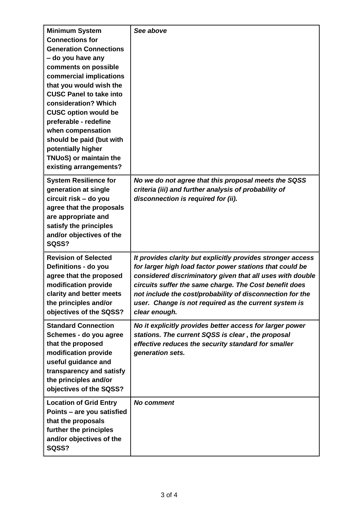| <b>Minimum System</b>                               | See above                                                                                                             |
|-----------------------------------------------------|-----------------------------------------------------------------------------------------------------------------------|
| <b>Connections for</b>                              |                                                                                                                       |
| <b>Generation Connections</b>                       |                                                                                                                       |
| - do you have any                                   |                                                                                                                       |
| comments on possible                                |                                                                                                                       |
| commercial implications                             |                                                                                                                       |
| that you would wish the                             |                                                                                                                       |
| <b>CUSC Panel to take into</b>                      |                                                                                                                       |
| consideration? Which                                |                                                                                                                       |
| <b>CUSC option would be</b>                         |                                                                                                                       |
| preferable - redefine                               |                                                                                                                       |
| when compensation                                   |                                                                                                                       |
| should be paid (but with                            |                                                                                                                       |
| potentially higher                                  |                                                                                                                       |
| TNUoS) or maintain the                              |                                                                                                                       |
| existing arrangements?                              |                                                                                                                       |
| <b>System Resilience for</b>                        | No we do not agree that this proposal meets the SQSS                                                                  |
| generation at single                                | criteria (iii) and further analysis of probability of                                                                 |
| circuit risk - do you                               | disconnection is required for (ii).                                                                                   |
| agree that the proposals                            |                                                                                                                       |
| are appropriate and                                 |                                                                                                                       |
| satisfy the principles                              |                                                                                                                       |
| and/or objectives of the                            |                                                                                                                       |
| SQSS?                                               |                                                                                                                       |
|                                                     |                                                                                                                       |
| <b>Revision of Selected</b><br>Definitions - do you | It provides clarity but explicitly provides stronger access                                                           |
|                                                     | for larger high load factor power stations that could be<br>considered discriminatory given that all uses with double |
| agree that the proposed<br>modification provide     | circuits suffer the same charge. The Cost benefit does                                                                |
| clarity and better meets                            | not include the cost/probability of disconnection for the                                                             |
| the principles and/or                               | user. Change is not required as the current system is                                                                 |
| objectives of the SQSS?                             | clear enough.                                                                                                         |
|                                                     |                                                                                                                       |
| <b>Standard Connection</b>                          | No it explicitly provides better access for larger power                                                              |
| Schemes - do you agree                              | stations. The current SQSS is clear, the proposal                                                                     |
| that the proposed                                   | effective reduces the security standard for smaller                                                                   |
| modification provide                                | generation sets.                                                                                                      |
| useful guidance and                                 |                                                                                                                       |
| transparency and satisfy                            |                                                                                                                       |
| the principles and/or                               |                                                                                                                       |
| objectives of the SQSS?                             |                                                                                                                       |
| <b>Location of Grid Entry</b>                       | <b>No comment</b>                                                                                                     |
| Points – are you satisfied                          |                                                                                                                       |
| that the proposals                                  |                                                                                                                       |
| further the principles                              |                                                                                                                       |
| and/or objectives of the                            |                                                                                                                       |
| SQSS?                                               |                                                                                                                       |
|                                                     |                                                                                                                       |